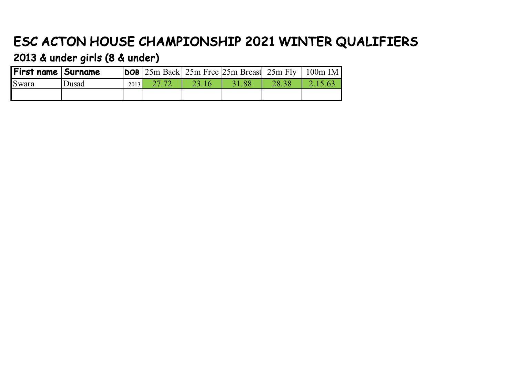## ESC ACTON HOUSE CHAMPIONSHIP 2021 WINTER QUALIFIERS

2013 & under girls (8 & under)

| First name  Surname |              |      |       | $ DOB $ 25m Back 25m Free 25m Breast 25m Fly   100m IM |       |  |
|---------------------|--------------|------|-------|--------------------------------------------------------|-------|--|
| Swara               | <b>Dusad</b> | 2013 | 23.16 | 31.88                                                  | 28.38 |  |
|                     |              |      |       |                                                        |       |  |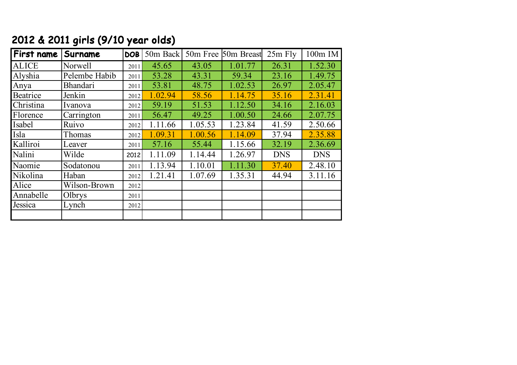| 2012 & 2011 girls (9/10 year olds) |  |  |  |  |  |
|------------------------------------|--|--|--|--|--|
|------------------------------------|--|--|--|--|--|

| First name   | Surname         | <b>DOB</b> | 50m Back | 50m Free | 50m Breast | $25m$ Fly  | 100m IM    |
|--------------|-----------------|------------|----------|----------|------------|------------|------------|
| <b>ALICE</b> | Norwell         | 2011       | 45.65    | 43.05    | 1.01.77    | 26.31      | 1.52.30    |
| Alyshia      | Pelembe Habib   | 2011       | 53.28    | 43.31    | 59.34      | 23.16      | 1.49.75    |
| Anya         | <b>Bhandari</b> | 2011       | 53.81    | 48.75    | 1.02.53    | 26.97      | 2.05.47    |
| Beatrice     | Jenkin          | 2012       | 1.02.94  | 58.56    | 1.14.75    | 35.16      | 2.31.41    |
| Christina    | Ivanova         | 2012       | 59.19    | 51.53    | 1.12.50    | 34.16      | 2.16.03    |
| Florence     | Carrington      | 2011       | 56.47    | 49.25    | 1.00.50    | 24.66      | 2.07.75    |
| Isabel       | Ruivo           | 2012       | 1.11.66  | 1.05.53  | 1.23.84    | 41.59      | 2.50.66    |
| Isla         | Thomas          | 2012       | 1.09.31  | 1.00.56  | 1.14.09    | 37.94      | 2.35.88    |
| Kalliroi     | Leaver          | 2011       | 57.16    | 55.44    | 1.15.66    | 32.19      | 2.36.69    |
| Nalini       | Wilde           | 2012       | 1.11.09  | 1.14.44  | 1.26.97    | <b>DNS</b> | <b>DNS</b> |
| Naomie       | Sodatonou       | 2011       | 1.13.94  | 1.10.01  | 1.11.30    | 37.40      | 2.48.10    |
| Nikolina     | Haban           | 2012       | 1.21.41  | 1.07.69  | 1.35.31    | 44.94      | 3.11.16    |
| Alice        | Wilson-Brown    | 2012       |          |          |            |            |            |
| Annabelle    | Olbrys          | 2011       |          |          |            |            |            |
| Jessica      | Lynch           | 2012       |          |          |            |            |            |
|              |                 |            |          |          |            |            |            |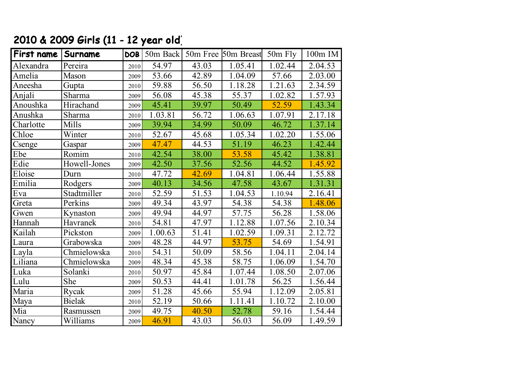## 2010 & 2009 Girls (11 - 12 year old)

| First name | Surname       | <b>DOB</b> |         |       | 50m Back 50m Free 50m Breast | 50m Fly | 100m IM              |
|------------|---------------|------------|---------|-------|------------------------------|---------|----------------------|
| Alexandra  | Pereira       | 2010       | 54.97   | 43.03 | 1.05.41                      | 1.02.44 | 2.04.53              |
| Amelia     | Mason         | 2009       | 53.66   | 42.89 | 1.04.09                      | 57.66   | 2.03.00              |
| Aneesha    | Gupta         | 2010       | 59.88   | 56.50 | 1.18.28                      | 1.21.63 | 2.34.59              |
| Anjali     | Sharma        | 2009       | 56.08   | 45.38 | 55.37                        | 1.02.82 | 1.57.93              |
| Anoushka   | Hirachand     | 2009       | 45.41   | 39.97 | 50.49                        | 52.59   | 1.43.34              |
| Anushka    | Sharma        | 2010       | 1.03.81 | 56.72 | 1.06.63                      | 1.07.91 | 2.17.18              |
| Charlotte  | Mills         | 2009       | 39.94   | 34.99 | 50.09                        | 46.72   | 1.37.14              |
| Chloe      | Winter        | 2010       | 52.67   | 45.68 | 1.05.34                      | 1.02.20 | 1.55.06              |
| Csenge     | Gaspar        | 2009       | 47.47   | 44.53 | 51.19                        | 46.23   | 1.42.44              |
| Ebe        | Romim         | 2010       | 42.54   | 38.00 | 53.58                        | 45.42   | 1.38.81              |
| Edie       | Howell-Jones  | 2009       | 42.50   | 37.56 | 52.56                        | 44.52   | 1.45.92              |
| Eloise     | Durn          | 2010       | 47.72   | 42.69 | 1.04.81                      | 1.06.44 | 1.55.88              |
| Emilia     | Rodgers       | 2009       | 40.13   | 34.56 | 47.58                        | 43.67   | 1.31.31              |
| Eva        | Stadtmiller   | 2010       | 52.59   | 51.53 | 1.04.53                      | 1.10.94 | 2.16.41              |
| Greta      | Perkins       | 2009       | 49.34   | 43.97 | 54.38                        | 54.38   | 1.48.06              |
| Gwen       | Kynaston      | 2009       | 49.94   | 44.97 | 57.75                        | 56.28   | 1.58.06              |
| Hannah     | Havranek      | 2010       | 54.81   | 47.97 | 1.12.88                      | 1.07.56 | 2.10.34              |
| Kailah     | Pickston      | 2009       | 1.00.63 | 51.41 | 1.02.59                      | 1.09.31 | 2.12.72              |
| Laura      | Grabowska     | 2009       | 48.28   | 44.97 | 53.75                        | 54.69   | 1.54.91              |
| Layla      | Chmielowska   | 2010       | 54.31   | 50.09 | 58.56                        | 1.04.11 | 2.04.14              |
| Liliana    | Chmielowska   | 2009       | 48.34   | 45.38 | 58.75                        | 1.06.09 | 1.54.70              |
| Luka       | Solanki       | 2010       | 50.97   | 45.84 | 1.07.44                      | 1.08.50 | 2.07.06              |
| Lulu       | She           | 2009       | 50.53   | 44.41 | 1.01.78                      | 56.25   | $\overline{1.56.44}$ |
| Maria      | Rycak         | 2009       | 51.28   | 45.66 | 55.94                        | 1.12.09 | 2.05.81              |
| Maya       | <b>Bielak</b> | 2010       | 52.19   | 50.66 | 1.11.41                      | 1.10.72 | 2.10.00              |
| Mia        | Rasmussen     | 2009       | 49.75   | 40.50 | 52.78                        | 59.16   | 1.54.44              |
| Nancy      | Williams      | 2009       | 46.91   | 43.03 | 56.03                        | 56.09   | 1.49.59              |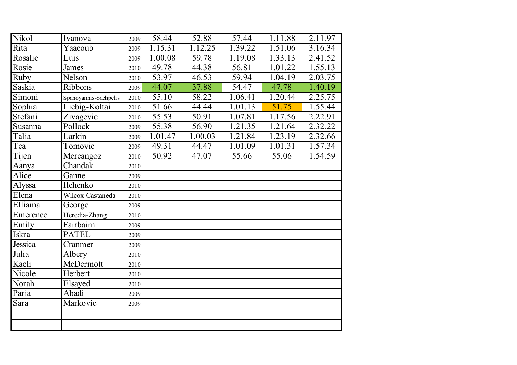| Nikol       | Ivanova               | 2009 | 58.44   | 52.88                | 57.44   | 1.11.88              | 2.11.97 |
|-------------|-----------------------|------|---------|----------------------|---------|----------------------|---------|
| Rita        | Yaacoub               | 2009 | 1.15.31 | $\overline{1.12.25}$ | 1.39.22 | 1.51.06              | 3.16.34 |
| Rosalie     | Luis                  | 2009 | 1.00.08 | 59.78                | 1.19.08 | 1.33.13              | 2.41.52 |
| Rosie       | James                 | 2010 | 49.78   | 44.38                | 56.81   | 1.01.22              | 1.55.13 |
| <b>Ruby</b> | Nelson                | 2010 | 53.97   | 46.53                | 59.94   | 1.04.19              | 2.03.75 |
| Saskia      | Ribbons               | 2009 | 44.07   | 37.88                | 54.47   | 47.78                | 1.40.19 |
| Simoni      | Spanoyannis-Sachpelis | 2010 | 55.10   | 58.22                | 1.06.41 | $\overline{1.20.44}$ | 2.25.75 |
| Sophia      | Liebig-Koltai         | 2010 | 51.66   | 44.44                | 1.01.13 | 51.75                | 1.55.44 |
| Stefani     | Zivagevic             | 2010 | 55.53   | 50.91                | 1.07.81 | 1.17.56              | 2.22.91 |
| Susanna     | Pollock               | 2009 | 55.38   | 56.90                | 1.21.35 | 1.21.64              | 2.32.22 |
| Talia       | Larkin                | 2009 | 1.01.47 | 1.00.03              | 1.21.84 | 1.23.19              | 2.32.66 |
| Tea         | Tomovic               | 2009 | 49.31   | 44.47                | 1.01.09 | 1.01.31              | 1.57.34 |
| Tijen       | Mercangoz             | 2010 | 50.92   | 47.07                | 55.66   | 55.06                | 1.54.59 |
| Aanya       | Chandak               | 2010 |         |                      |         |                      |         |
| Alice       | Ganne                 | 2009 |         |                      |         |                      |         |
| Alyssa      | Ilchenko              | 2010 |         |                      |         |                      |         |
| Elena       | Wilcox Castaneda      | 2010 |         |                      |         |                      |         |
| Elliama     | George                | 2009 |         |                      |         |                      |         |
| Emerence    | Heredia-Zhang         | 2010 |         |                      |         |                      |         |
| Emily       | Fairbairn             | 2009 |         |                      |         |                      |         |
| Iskra       | <b>PATEL</b>          | 2009 |         |                      |         |                      |         |
| Jessica     | Cranmer               | 2009 |         |                      |         |                      |         |
| Julia       | Albery                | 2010 |         |                      |         |                      |         |
| Kaeli       | McDermott             | 2010 |         |                      |         |                      |         |
| Nicole      | Herbert               | 2010 |         |                      |         |                      |         |
| Norah       | Elsayed               | 2010 |         |                      |         |                      |         |
| Paria       | Abadi                 | 2009 |         |                      |         |                      |         |
| Sara        | Markovic              | 2009 |         |                      |         |                      |         |
|             |                       |      |         |                      |         |                      |         |
|             |                       |      |         |                      |         |                      |         |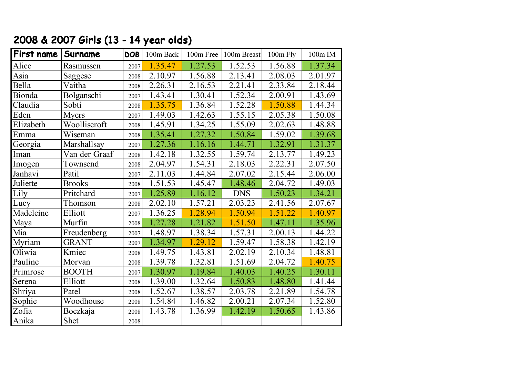| First name | Surname       | <b>DOB</b> | 100m Back            | 100m Free | 100m Breast | 100m Fly | 100m IM |
|------------|---------------|------------|----------------------|-----------|-------------|----------|---------|
| Alice      | Rasmussen     | 2007       | 1.35.47              | 1.27.53   | 1.52.53     | 1.56.88  | 1.37.34 |
| Asia       | Saggese       | 2008       | 2.10.97              | 1.56.88   | 2.13.41     | 2.08.03  | 2.01.97 |
| Bella      | Vaitha        | 2008       | 2.26.31              | 2.16.53   | 2.21.41     | 2.33.84  | 2.18.44 |
| Bionda     | Bolganschi    | 2007       | 1.43.41              | 1.30.41   | 1.52.34     | 2.00.91  | 1.43.69 |
| Claudia    | Sobti         | 2008       | 1.35.75              | 1.36.84   | 1.52.28     | 1.50.88  | 1.44.34 |
| Eden       | <b>Myers</b>  | 2007       | 1.49.03              | 1.42.63   | 1.55.15     | 2.05.38  | 1.50.08 |
| Elizabeth  | Woolliscroft  | 2008       | 1.45.91              | 1.34.25   | 1.55.09     | 2.02.63  | 1.48.88 |
| Emma       | Wiseman       | 2008       | 1.35.41              | 1.27.32   | 1.50.84     | 1.59.02  | 1.39.68 |
| Georgia    | Marshallsay   | 2007       | 1.27.36              | 1.16.16   | 1.44.71     | 1.32.91  | 1.31.37 |
| Iman       | Van der Graaf | 2008       | 1.42.18              | 1.32.55   | 1.59.74     | 2.13.77  | 1.49.23 |
| Imogen     | Townsend      | 2008       | 2.04.97              | 1.54.31   | 2.18.03     | 2.22.31  | 2.07.50 |
| Janhavi    | Patil         | 2007       | 2.11.03              | 1.44.84   | 2.07.02     | 2.15.44  | 2.06.00 |
| Juliette   | <b>Brooks</b> | 2008       | 1.51.53              | 1.45.47   | 1.48.46     | 2.04.72  | 1.49.03 |
| Lily       | Pritchard     | 2007       | 1.25.89              | 1.16.12   | <b>DNS</b>  | 1.50.23  | 1.34.21 |
| Lucy       | Thomson       | 2008       | 2.02.10              | 1.57.21   | 2.03.23     | 2.41.56  | 2.07.67 |
| Madeleine  | Elliott       | 2007       | 1.36.25              | 1.28.94   | 1.50.94     | 1.51.22  | 1.40.97 |
| Maya       | Murfin        | 2008       | 1.27.28              | 1.21.82   | 1.51.50     | 1.47.11  | 1.35.96 |
| Mia        | Freudenberg   | 2007       | 1.48.97              | 1.38.34   | 1.57.31     | 2.00.13  | 1.44.22 |
| Myriam     | <b>GRANT</b>  | 2007       | 1.34.97              | .29.12    | 1.59.47     | 1.58.38  | 1.42.19 |
| Oliwia     | Kmiec         | 2008       | 1.49.75              | 1.43.81   | 2.02.19     | 2.10.34  | 1.48.81 |
| Pauline    | Morvan        | 2008       | $\overline{1.39.78}$ | 1.32.81   | 1.51.69     | 2.04.72  | 1.40.75 |
| Primrose   | <b>BOOTH</b>  | 2007       | 1.30.97              | 1.19.84   | 1.40.03     | 1.40.25  | 1.30.11 |
| Serena     | Elliott       | 2008       | 1.39.00              | 1.32.64   | 1.50.83     | 1.48.80  | 1.41.44 |
| Shriya     | Patel         | 2008       | 1.52.67              | 1.38.57   | 2.03.78     | 2.21.89  | 1.54.78 |
| Sophie     | Woodhouse     | 2008       | 1.54.84              | 1.46.82   | 2.00.21     | 2.07.34  | 1.52.80 |
| Zofia      | Boczkaja      | 2008       | 1.43.78              | 1.36.99   | 1.42.19     | 1.50.65  | 1.43.86 |
| Anika      | Shet          | 2008       |                      |           |             |          |         |

## 2008 & 2007 Girls (13 - 14 year olds)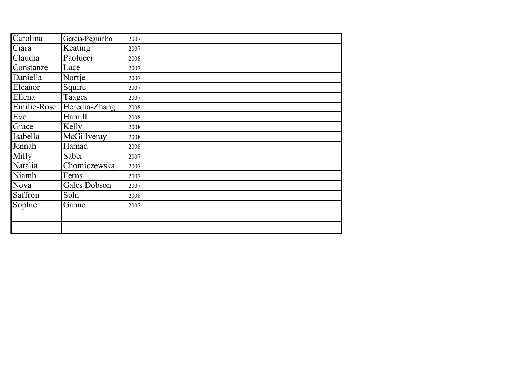| Carolina    | Garcia-Peguinho     | 2007 |  |  |  |
|-------------|---------------------|------|--|--|--|
| Ciara       | Keating             | 2007 |  |  |  |
| Claudia     | Paolucci            | 2008 |  |  |  |
| Constanze   | Lace                | 2007 |  |  |  |
| Daniella    | Nortje              | 2007 |  |  |  |
| Eleanor     | Squire              | 2007 |  |  |  |
| Ellena      | Taages              | 2007 |  |  |  |
| Emilie-Rose | Heredia-Zhang       | 2008 |  |  |  |
| Eve         | Hamill              | 2008 |  |  |  |
| Grace       | Kelly               | 2008 |  |  |  |
| Isabella    | McGillveray         | 2008 |  |  |  |
| Jennah      | Hamad               | 2008 |  |  |  |
| Milly       | Saber               | 2007 |  |  |  |
| Natalia     | Chomiczewska        | 2007 |  |  |  |
| Niamh       | Ferns               | 2007 |  |  |  |
| Nova        | <b>Gales Dobson</b> | 2007 |  |  |  |
| Saffron     | Sohi                | 2008 |  |  |  |
| Sophie      | Ganne               | 2007 |  |  |  |
|             |                     |      |  |  |  |
|             |                     |      |  |  |  |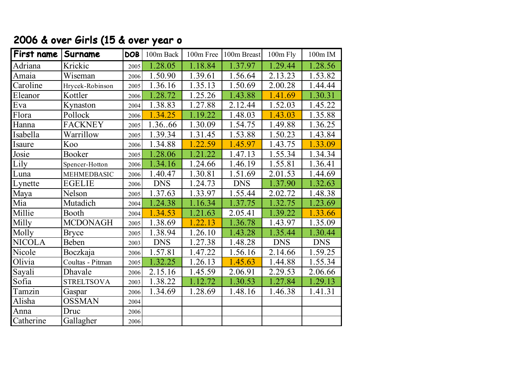## 2006 & over Girls (15 & over year o

| First name    | Surname            | DOB  | 100m Back  |         | 100m Free 100m Breast | 100m Fly   | 100m IM    |
|---------------|--------------------|------|------------|---------|-----------------------|------------|------------|
| Adriana       | Krickic            | 2005 | 1.28.05    | 1.18.84 | 1.37.97               | 1.29.44    | 1.28.56    |
| Amaia         | Wiseman            | 2006 | 1.50.90    | 1.39.61 | 1.56.64               | 2.13.23    | 1.53.82    |
| Caroline      | Hrycek-Robinson    | 2005 | 1.36.16    | 1.35.13 | 1.50.69               | 2.00.28    | 1.44.44    |
| Eleanor       | Kottler            | 2006 | 1.28.72    | 1.25.26 | 1.43.88               | 1.41.69    | 1.30.31    |
| Eva           | Kynaston           | 2004 | 1.38.83    | 1.27.88 | 2.12.44               | 1.52.03    | 1.45.22    |
| Flora         | Pollock            | 2006 | 1.34.25    | 1.19.22 | 1.48.03               | 1.43.03    | 1.35.88    |
| Hanna         | <b>FACKNEY</b>     | 2005 | 1.3666     | 1.30.09 | 1.54.75               | 1.49.88    | 1.36.25    |
| Isabella      | Warrillow          | 2005 | 1.39.34    | 1.31.45 | 1.53.88               | 1.50.23    | 1.43.84    |
| Isaure        | Koo                | 2006 | 1.34.88    | 1.22.59 | 1.45.97               | 1.43.75    | 1.33.09    |
| Josie         | Booker             | 2005 | 1.28.06    | 1.21.22 | 1.47.13               | 1.55.34    | 1.34.34    |
| Lily          | Spencer-Hotton     | 2006 | 1.34.16    | 1.24.66 | 1.46.19               | 1.55.81    | 1.36.41    |
| Luna          | <b>MEHMEDBASIC</b> | 2006 | 1.40.47    | 1.30.81 | 1.51.69               | 2.01.53    | 1.44.69    |
| Lynette       | <b>EGELIE</b>      | 2006 | <b>DNS</b> | 1.24.73 | <b>DNS</b>            | 1.37.90    | 1.32.63    |
| Maya          | Nelson             | 2005 | 1.37.63    | 1.33.97 | 1.55.44               | 2.02.72    | 1.48.38    |
| Mia           | Mutadich           | 2004 | 1.24.38    | 1.16.34 | 1.37.75               | 1.32.75    | 1.23.69    |
| Millie        | Booth              | 2004 | 1.34.53    | 1.21.63 | 2.05.41               | 1.39.22    | 1.33.66    |
| Milly         | <b>MCDONAGH</b>    | 2005 | 1.38.69    | 1.22.13 | 1.36.78               | 1.43.97    | 1.35.09    |
| Molly         | <b>Bryce</b>       | 2005 | 1.38.94    | 1.26.10 | 1.43.28               | 1.35.44    | 1.30.44    |
| <b>NICOLA</b> | Beben              | 2003 | <b>DNS</b> | 1.27.38 | 1.48.28               | <b>DNS</b> | <b>DNS</b> |
| Nicole        | Boczkaja           | 2006 | 1.57.81    | 1.47.22 | 1.56.16               | 2.14.66    | 1.59.25    |
| Olivia        | Coultas - Pitman   | 2005 | 1.32.25    | 1.26.13 | 1.45.63               | 1.44.88    | 1.55.34    |
| Sayali        | Dhavale            | 2006 | 2.15.16    | 1.45.59 | 2.06.91               | 2.29.53    | 2.06.66    |
| Sofia         | <b>STRELTSOVA</b>  | 2003 | 1.38.22    | 1.12.72 | 1.30.53               | 1.27.84    | 1.29.13    |
| Tamzin        | Gaspar             | 2006 | 1.34.69    | 1.28.69 | 1.48.16               | 1.46.38    | 1.41.31    |
| Alisha        | <b>OSSMAN</b>      | 2004 |            |         |                       |            |            |
| Anna          | Druc               | 2006 |            |         |                       |            |            |
| Catherine     | Gallagher          | 2006 |            |         |                       |            |            |